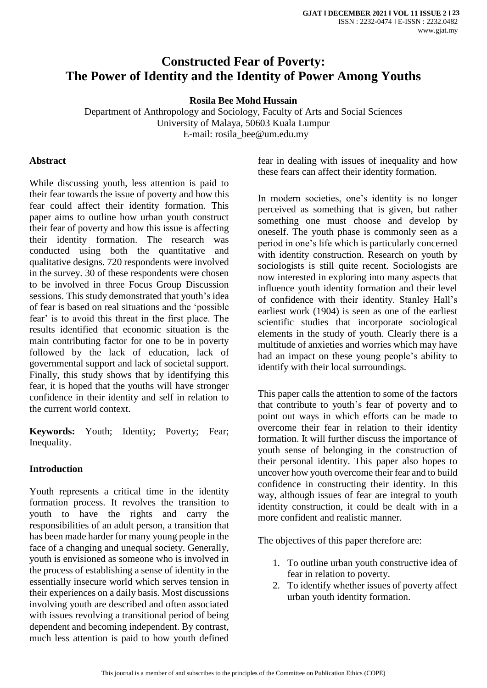# **Constructed Fear of Poverty: The Power of Identity and the Identity of Power Among Youths**

**Rosila Bee Mohd Hussain** 

Department of Anthropology and Sociology, Faculty of Arts and Social Sciences University of Malaya, 50603 Kuala Lumpur E-mail: [rosila\\_bee@um.edu.my](mailto:rosila_bee@um.edu.my)

#### **Abstract**

While discussing youth, less attention is paid to their fear towards the issue of poverty and how this fear could affect their identity formation. This paper aims to outline how urban youth construct their fear of poverty and how this issue is affecting their identity formation. The research was conducted using both the quantitative and qualitative designs. 720 respondents were involved in the survey. 30 of these respondents were chosen to be involved in three Focus Group Discussion sessions. This study demonstrated that youth's idea of fear is based on real situations and the 'possible fear' is to avoid this threat in the first place. The results identified that economic situation is the main contributing factor for one to be in poverty followed by the lack of education, lack of governmental support and lack of societal support. Finally, this study shows that by identifying this fear, it is hoped that the youths will have stronger confidence in their identity and self in relation to the current world context.

**Keywords:** Youth; Identity; Poverty; Fear; Inequality.

#### **Introduction**

Youth represents a critical time in the identity formation process. It revolves the transition to youth to have the rights and carry the responsibilities of an adult person, a transition that has been made harder for many young people in the face of a changing and unequal society. Generally, youth is envisioned as someone who is involved in the process of establishing a sense of identity in the essentially insecure world which serves tension in their experiences on a daily basis. Most discussions involving youth are described and often associated with issues revolving a transitional period of being dependent and becoming independent. By contrast, much less attention is paid to how youth defined

fear in dealing with issues of inequality and how these fears can affect their identity formation.

In modern societies, one's identity is no longer perceived as something that is given, but rather something one must choose and develop by oneself. The youth phase is commonly seen as a period in one's life which is particularly concerned with identity construction. Research on youth by sociologists is still quite recent. Sociologists are now interested in exploring into many aspects that influence youth identity formation and their level of confidence with their identity. Stanley Hall's earliest work (1904) is seen as one of the earliest scientific studies that incorporate sociological elements in the study of youth. Clearly there is a multitude of anxieties and worries which may have had an impact on these young people's ability to identify with their local surroundings.

This paper calls the attention to some of the factors that contribute to youth's fear of poverty and to point out ways in which efforts can be made to overcome their fear in relation to their identity formation. It will further discuss the importance of youth sense of belonging in the construction of their personal identity. This paper also hopes to uncover how youth overcome their fear and to build confidence in constructing their identity. In this way, although issues of fear are integral to youth identity construction, it could be dealt with in a more confident and realistic manner.

The objectives of this paper therefore are:

- 1. To outline urban youth constructive idea of fear in relation to poverty.
- 2. To identify whether issues of poverty affect urban youth identity formation.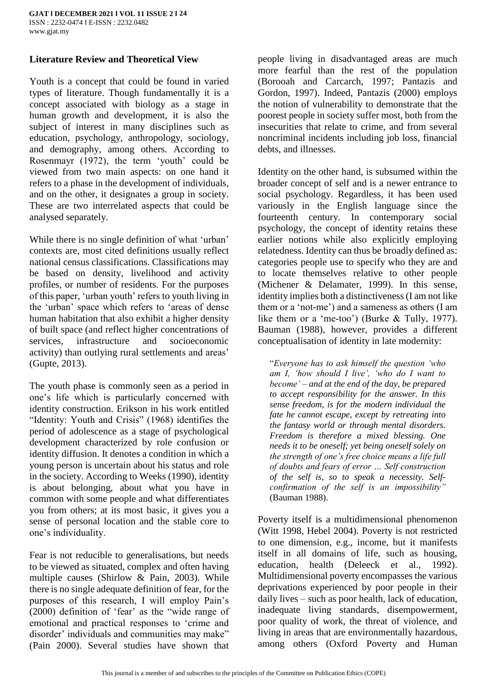# **Literature Review and Theoretical View**

Youth is a concept that could be found in varied types of literature. Though fundamentally it is a concept associated with biology as a stage in human growth and development, it is also the subject of interest in many disciplines such as education, psychology, anthropology, sociology, and demography, among others. According to Rosenmayr (1972), the term 'youth' could be viewed from two main aspects: on one hand it refers to a phase in the development of individuals, and on the other, it designates a group in society. These are two interrelated aspects that could be analysed separately.

While there is no single definition of what 'urban' contexts are, most cited definitions usually reflect national census classifications. Classifications may be based on density, livelihood and activity profiles, or number of residents. For the purposes of this paper, 'urban youth' refers to youth living in the 'urban' space which refers to 'areas of dense human habitation that also exhibit a higher density of built space (and reflect higher concentrations of services, infrastructure and socioeconomic activity) than outlying rural settlements and areas' (Gupte, 2013).

The youth phase is commonly seen as a period in one's life which is particularly concerned with identity construction. Erikson in his work entitled "Identity: Youth and Crisis" (1968) identifies the period of adolescence as a stage of psychological development characterized by role confusion or identity diffusion. It denotes a condition in which a young person is uncertain about his status and role in the society. According to Weeks (1990), identity is about belonging, about what you have in common with some people and what differentiates you from others; at its most basic, it gives you a sense of personal location and the stable core to one's individuality.

Fear is not reducible to generalisations, but needs to be viewed as situated, complex and often having multiple causes (Shirlow & Pain, 2003). While there is no single adequate definition of fear, for the purposes of this research, I will employ Pain's (2000) definition of 'fear' as the "wide range of emotional and practical responses to 'crime and disorder' individuals and communities may make" (Pain 2000). Several studies have shown that people living in disadvantaged areas are much more fearful than the rest of the population (Borooah and Carcarch, 1997; Pantazis and Gordon, 1997). Indeed, Pantazis (2000) employs the notion of vulnerability to demonstrate that the poorest people in society suffer most, both from the insecurities that relate to crime, and from several noncriminal incidents including job loss, financial debts, and illnesses.

Identity on the other hand, is subsumed within the broader concept of self and is a newer entrance to social psychology. Regardless, it has been used variously in the English language since the fourteenth century. In contemporary social psychology, the concept of identity retains these earlier notions while also explicitly employing relatedness. Identity can thus be broadly defined as: categories people use to specify who they are and to locate themselves relative to other people (Michener & Delamater, 1999). In this sense, identity implies both a distinctiveness (I am not like them or a 'not-me') and a sameness as others (I am like them or a 'me-too') (Burke & Tully, 1977). Bauman (1988), however, provides a different conceptualisation of identity in late modernity:

"*Everyone has to ask himself the question 'who am I, 'how should I live', 'who do I want to become' – and at the end of the day, be prepared to accept responsibility for the answer. In this sense freedom, is for the modern individual the fate he cannot escape, except by retreating into the fantasy world or through mental disorders. Freedom is therefore a mixed blessing. One needs it to be oneself; yet being oneself solely on the strength of one's free choice means a life full of doubts and fears of error … Self construction of the self is, so to speak a necessity. Selfconfirmation of the self is an impossibility"* (Bauman 1988).

Poverty itself is a multidimensional phenomenon (Witt 1998, Hebel 2004). Poverty is not restricted to one dimension, e.g., income, but it manifests itself in all domains of life, such as housing, education, health (Deleeck et al., 1992). Multidimensional poverty encompasses the various deprivations experienced by poor people in their daily lives – such as poor health, lack of education, inadequate living standards, disempowerment, poor quality of work, the threat of violence, and living in areas that are environmentally hazardous, among others (Oxford Poverty and Human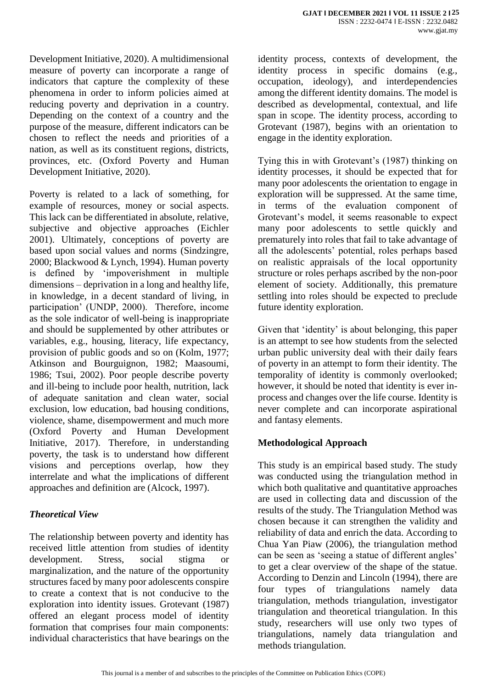Development Initiative, 2020). A multidimensional measure of poverty can incorporate a range of indicators that capture the complexity of these phenomena in order to inform policies aimed at reducing poverty and deprivation in a country. Depending on the context of a country and the purpose of the measure, different indicators can be chosen to reflect the needs and priorities of a nation, as well as its constituent regions, districts, provinces, etc. (Oxford Poverty and Human Development Initiative, 2020).

Poverty is related to a lack of something, for example of resources, money or social aspects. This lack can be differentiated in absolute, relative, subjective and objective approaches (Eichler 2001). Ultimately, conceptions of poverty are based upon social values and norms (Sindzingre, 2000; Blackwood & Lynch, 1994). Human poverty is defined by 'impoverishment in multiple dimensions – deprivation in a long and healthy life, in knowledge, in a decent standard of living, in participation' (UNDP, 2000). Therefore, income as the sole indicator of well-being is inappropriate and should be supplemented by other attributes or variables, e.g., housing, literacy, life expectancy, provision of public goods and so on (Kolm, 1977; Atkinson and Bourguignon, 1982; Maasoumi, 1986; Tsui, 2002). Poor people describe poverty and ill-being to include poor health, nutrition, lack of adequate sanitation and clean water, social exclusion, low education, bad housing conditions, violence, shame, disempowerment and much more (Oxford Poverty and Human Development Initiative, 2017). Therefore, in understanding poverty, the task is to understand how different visions and perceptions overlap, how they interrelate and what the implications of different approaches and definition are (Alcock, 1997).

## *Theoretical View*

The relationship between poverty and identity has received little attention from studies of identity development. Stress, social stigma or marginalization, and the nature of the opportunity structures faced by many poor adolescents conspire to create a context that is not conducive to the exploration into identity issues. Grotevant (1987) offered an elegant process model of identity formation that comprises four main components: individual characteristics that have bearings on the identity process, contexts of development, the identity process in specific domains (e.g., occupation, ideology), and interdependencies among the different identity domains. The model is described as developmental, contextual, and life span in scope. The identity process, according to Grotevant (1987), begins with an orientation to engage in the identity exploration.

Tying this in with Grotevant's (1987) thinking on identity processes, it should be expected that for many poor adolescents the orientation to engage in exploration will be suppressed. At the same time, in terms of the evaluation component of Grotevant's model, it seems reasonable to expect many poor adolescents to settle quickly and prematurely into roles that fail to take advantage of all the adolescents' potential, roles perhaps based on realistic appraisals of the local opportunity structure or roles perhaps ascribed by the non-poor element of society. Additionally, this premature settling into roles should be expected to preclude future identity exploration.

Given that 'identity' is about belonging, this paper is an attempt to see how students from the selected urban public university deal with their daily fears of poverty in an attempt to form their identity. The temporality of identity is commonly overlooked; however, it should be noted that identity is ever inprocess and changes over the life course. Identity is never complete and can incorporate aspirational and fantasy elements.

# **Methodological Approach**

This study is an empirical based study. The study was conducted using the triangulation method in which both qualitative and quantitative approaches are used in collecting data and discussion of the results of the study. The Triangulation Method was chosen because it can strengthen the validity and reliability of data and enrich the data. According to Chua Yan Piaw (2006), the triangulation method can be seen as 'seeing a statue of different angles' to get a clear overview of the shape of the statue. According to Denzin and Lincoln (1994), there are four types of triangulations namely data triangulation, methods triangulation, investigator triangulation and theoretical triangulation. In this study, researchers will use only two types of triangulations, namely data triangulation and methods triangulation.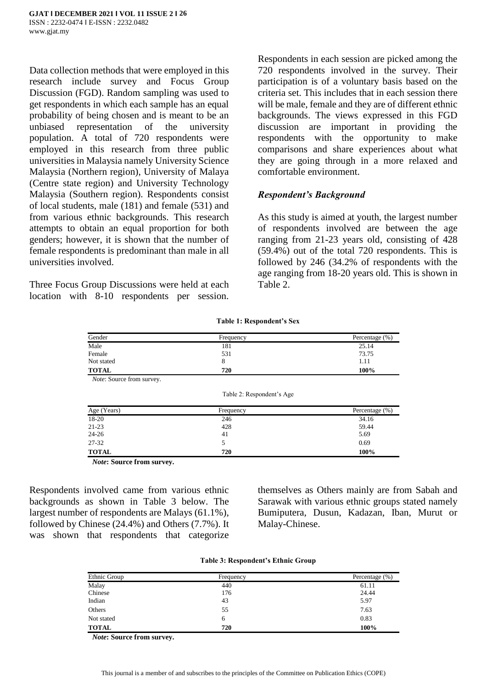Data collection methods that were employed in this research include survey and Focus Group Discussion (FGD). Random sampling was used to get respondents in which each sample has an equal probability of being chosen and is meant to be an unbiased representation of the university population. A total of 720 respondents were employed in this research from three public universities in Malaysia namely University Science Malaysia (Northern region), University of Malaya (Centre state region) and University Technology Malaysia (Southern region). Respondents consist of local students, male (181) and female (531) and from various ethnic backgrounds. This research attempts to obtain an equal proportion for both genders; however, it is shown that the number of female respondents is predominant than male in all universities involved.

Three Focus Group Discussions were held at each location with 8-10 respondents per session.

Respondents in each session are picked among the 720 respondents involved in the survey. Their participation is of a voluntary basis based on the criteria set. This includes that in each session there will be male, female and they are of different ethnic backgrounds. The views expressed in this FGD discussion are important in providing the respondents with the opportunity to make comparisons and share experiences about what they are going through in a more relaxed and comfortable environment.

#### *Respondent's Background*

As this study is aimed at youth, the largest number of respondents involved are between the age ranging from 21-23 years old, consisting of 428 (59.4%) out of the total 720 respondents. This is followed by 246 (34.2% of respondents with the age ranging from 18-20 years old. This is shown in Table 2.

| Gender       | Frequency | Percentage $(\%)$ |  |  |
|--------------|-----------|-------------------|--|--|
| Male         | 181       | 25.14             |  |  |
| Female       | 531       | 73.75             |  |  |
| Not stated   | Ω         | 1.11              |  |  |
| <b>TOTAL</b> | 720       | 100%              |  |  |

*Note*: Source from survey.

Table 2: Respondent's Age

**Table 1: Respondent's Sex**

| Age (Years)  | Frequency | Percentage (%) |
|--------------|-----------|----------------|
| 18-20        | 246       | 34.16          |
| $21 - 23$    | 428       | 59.44          |
| $24 - 26$    | 41        | 5.69           |
| 27-32        |           | 0.69           |
| <b>TOTAL</b> | 720       | 100%           |

*Note***: Source from survey.**

Respondents involved came from various ethnic backgrounds as shown in Table 3 below. The largest number of respondents are Malays (61.1%), followed by Chinese (24.4%) and Others (7.7%). It was shown that respondents that categorize themselves as Others mainly are from Sabah and Sarawak with various ethnic groups stated namely Bumiputera, Dusun, Kadazan, Iban, Murut or Malay-Chinese.

|  |  | <b>Table 3: Respondent's Ethnic Group</b> |  |  |
|--|--|-------------------------------------------|--|--|
|--|--|-------------------------------------------|--|--|

| Ethnic Group | Frequency | Percentage (%) |
|--------------|-----------|----------------|
| Malay        | 440       | 61.11          |
| Chinese      | 176       | 24.44          |
| Indian       | 43        | 5.97           |
| Others       | 55        | 7.63           |
| Not stated   | 6         | 0.83           |
| <b>TOTAL</b> | 720       | 100%           |

*Note***: Source from survey.**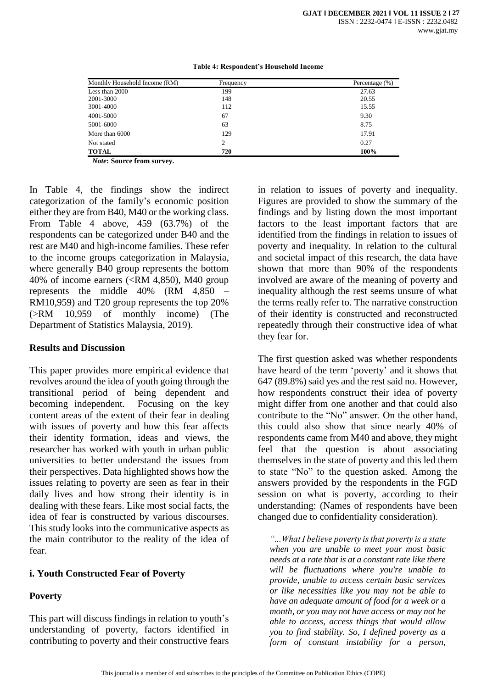| Monthly Household Income (RM) | Frequency | Percentage (%) |
|-------------------------------|-----------|----------------|
| Less than 2000                | 199       | 27.63          |
| 2001-3000                     | 148       | 20.55          |
| 3001-4000                     | 112       | 15.55          |
| 4001-5000                     | 67        | 9.30           |
| 5001-6000                     | 63        | 8.75           |
| More than 6000                | 129       | 17.91          |
| Not stated                    | 2         | 0.27           |
| <b>TOTAL</b>                  | 720       | 100%           |

**Table 4: Respondent's Household Income**

*Note***: Source from survey.**

In Table 4, the findings show the indirect categorization of the family's economic position either they are from B40, M40 or the working class. From Table 4 above, 459 (63.7%) of the respondents can be categorized under B40 and the rest are M40 and high-income families. These refer to the income groups categorization in Malaysia, where generally B40 group represents the bottom 40% of income earners (<RM 4,850), M40 group represents the middle 40% (RM 4,850 – RM10,959) and T20 group represents the top 20% (>RM 10,959 of monthly income) (The Department of Statistics Malaysia, 2019).

#### **Results and Discussion**

This paper provides more empirical evidence that revolves around the idea of youth going through the transitional period of being dependent and becoming independent. Focusing on the key content areas of the extent of their fear in dealing with issues of poverty and how this fear affects their identity formation, ideas and views, the researcher has worked with youth in urban public universities to better understand the issues from their perspectives. Data highlighted shows how the issues relating to poverty are seen as fear in their daily lives and how strong their identity is in dealing with these fears. Like most social facts, the idea of fear is constructed by various discourses. This study looks into the communicative aspects as the main contributor to the reality of the idea of fear.

## **i. Youth Constructed Fear of Poverty**

# **Poverty**

This part will discuss findings in relation to youth's understanding of poverty, factors identified in contributing to poverty and their constructive fears

in relation to issues of poverty and inequality. Figures are provided to show the summary of the findings and by listing down the most important factors to the least important factors that are identified from the findings in relation to issues of poverty and inequality. In relation to the cultural and societal impact of this research, the data have shown that more than 90% of the respondents involved are aware of the meaning of poverty and inequality although the rest seems unsure of what the terms really refer to. The narrative construction of their identity is constructed and reconstructed repeatedly through their constructive idea of what they fear for.

The first question asked was whether respondents have heard of the term 'poverty' and it shows that 647 (89.8%) said yes and the rest said no. However, how respondents construct their idea of poverty might differ from one another and that could also contribute to the "No" answer. On the other hand, this could also show that since nearly 40% of respondents came from M40 and above, they might feel that the question is about associating themselves in the state of poverty and this led them to state "No" to the question asked. Among the answers provided by the respondents in the FGD session on what is poverty, according to their understanding: (Names of respondents have been changed due to confidentiality consideration).

*"...What I believe poverty is that poverty is a state when you are unable to meet your most basic needs at a rate that is at a constant rate like there will be fluctuations where you're unable to provide, unable to access certain basic services or like necessities like you may not be able to have an adequate amount of food for a week or a month, or you may not have access or may not be able to access, access things that would allow you to find stability. So, I defined poverty as a form of constant instability for a person,*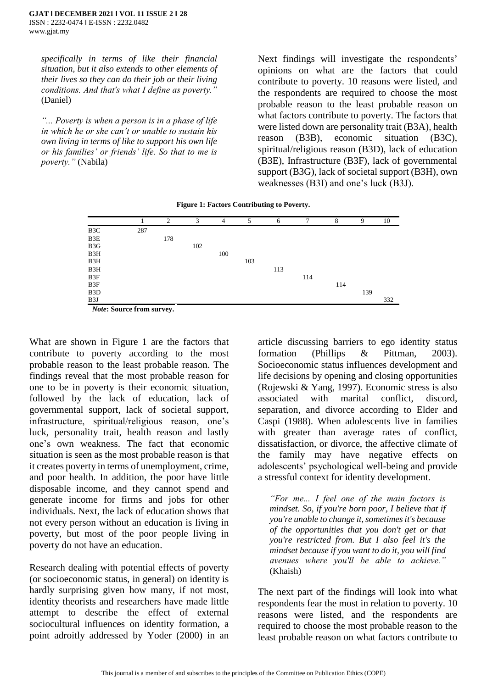*specifically in terms of like their financial situation, but it also extends to other elements of their lives so they can do their job or their living conditions. And that's what I define as poverty."* (Daniel)

*"... Poverty is when a person is in a phase of life in which he or she can't or unable to sustain his own living in terms of like to support his own life or his families' or friends' life. So that to me is poverty."* (Nabila)

Next findings will investigate the respondents' opinions on what are the factors that could contribute to poverty. 10 reasons were listed, and the respondents are required to choose the most probable reason to the least probable reason on what factors contribute to poverty. The factors that were listed down are personality trait (B3A), health reason (B3B), economic situation (B3C), spiritual/religious reason (B3D), lack of education (B3E), Infrastructure (B3F), lack of governmental support (B3G), lack of societal support (B3H), own weaknesses (B3I) and one's luck (B3J).

| <b>Figure 1: Factors Contributing to Poverty.</b> |  |  |
|---------------------------------------------------|--|--|
|---------------------------------------------------|--|--|

|                  |                                                                                                                                                                                                                                                                                                                                           | $\overline{2}$ | 3   | $\overline{4}$ | .5  | 6   | $\mathcal{I}$ | 8   | 9   | 10  |
|------------------|-------------------------------------------------------------------------------------------------------------------------------------------------------------------------------------------------------------------------------------------------------------------------------------------------------------------------------------------|----------------|-----|----------------|-----|-----|---------------|-----|-----|-----|
| B3C              | 287                                                                                                                                                                                                                                                                                                                                       |                |     |                |     |     |               |     |     |     |
| B3E              |                                                                                                                                                                                                                                                                                                                                           | 178            |     |                |     |     |               |     |     |     |
| B3G              |                                                                                                                                                                                                                                                                                                                                           |                | 102 |                |     |     |               |     |     |     |
| B3H              |                                                                                                                                                                                                                                                                                                                                           |                |     | 100            |     |     |               |     |     |     |
| B3H              |                                                                                                                                                                                                                                                                                                                                           |                |     |                | 103 |     |               |     |     |     |
| B3H              |                                                                                                                                                                                                                                                                                                                                           |                |     |                |     | 113 |               |     |     |     |
| B3F              |                                                                                                                                                                                                                                                                                                                                           |                |     |                |     |     | 114           |     |     |     |
| B3F              |                                                                                                                                                                                                                                                                                                                                           |                |     |                |     |     |               | 114 |     |     |
| B <sub>3</sub> D |                                                                                                                                                                                                                                                                                                                                           |                |     |                |     |     |               |     | 139 |     |
| B <sub>3</sub> J |                                                                                                                                                                                                                                                                                                                                           |                |     |                |     |     |               |     |     | 332 |
|                  | $\mathbf{M}$ , $\mathbf{A}$ , $\mathbf{C}$ , $\mathbf{C}$ , $\mathbf{L}$ , $\mathbf{L}$ , $\mathbf{L}$ , $\mathbf{L}$ , $\mathbf{L}$ , $\mathbf{L}$ , $\mathbf{L}$ , $\mathbf{L}$ , $\mathbf{L}$ , $\mathbf{L}$ , $\mathbf{L}$ , $\mathbf{L}$ , $\mathbf{L}$ , $\mathbf{L}$ , $\mathbf{L}$ , $\mathbf{L}$ , $\mathbf{L}$ , $\mathbf{L}$ , |                |     |                |     |     |               |     |     |     |

*Note***: Source from survey.**

What are shown in Figure 1 are the factors that contribute to poverty according to the most probable reason to the least probable reason. The findings reveal that the most probable reason for one to be in poverty is their economic situation, followed by the lack of education, lack of governmental support, lack of societal support, infrastructure, spiritual/religious reason, one's luck, personality trait, health reason and lastly one's own weakness. The fact that economic situation is seen as the most probable reason is that it creates poverty in terms of unemployment, crime, and poor health. In addition, the poor have little disposable income, and they cannot spend and generate income for firms and jobs for other individuals. Next, the lack of education shows that not every person without an education is living in poverty, but most of the poor people living in poverty do not have an education.

Research dealing with potential effects of poverty (or socioeconomic status, in general) on identity is hardly surprising given how many, if not most, identity theorists and researchers have made little attempt to describe the effect of external sociocultural influences on identity formation, a point adroitly addressed by Yoder (2000) in an article discussing barriers to ego identity status formation (Phillips & Pittman, 2003). Socioeconomic status influences development and life decisions by opening and closing opportunities (Rojewski & Yang, 1997). Economic stress is also associated with marital conflict, discord, separation, and divorce according to Elder and Caspi (1988). When adolescents live in families with greater than average rates of conflict, dissatisfaction, or divorce, the affective climate of the family may have negative effects on adolescents' psychological well-being and provide a stressful context for identity development.

*"For me... I feel one of the main factors is mindset. So, if you're born poor, I believe that if you're unable to change it, sometimes it's because of the opportunities that you don't get or that you're restricted from. But I also feel it's the mindset because if you want to do it, you will find avenues where you'll be able to achieve."* (Khaish)

The next part of the findings will look into what respondents fear the most in relation to poverty. 10 reasons were listed, and the respondents are required to choose the most probable reason to the least probable reason on what factors contribute to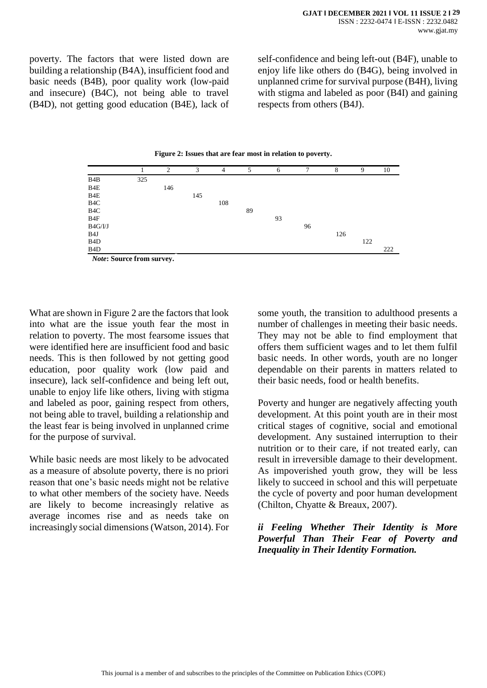poverty. The factors that were listed down are building a relationship (B4A), insufficient food and basic needs (B4B), poor quality work (low-paid and insecure) (B4C), not being able to travel (B4D), not getting good education (B4E), lack of

self-confidence and being left-out (B4F), unable to enjoy life like others do (B4G), being involved in unplanned crime for survival purpose (B4H), living with stigma and labeled as poor (B4I) and gaining respects from others (B4J).



|                           |     | $\overline{c}$ | 3   | $\overline{4}$ | 5  | 6  | 7  | 8   | 9   | 10  |
|---------------------------|-----|----------------|-----|----------------|----|----|----|-----|-----|-----|
| B4B                       | 325 |                |     |                |    |    |    |     |     |     |
| B4E                       |     | 146            |     |                |    |    |    |     |     |     |
| B4E                       |     |                | 145 |                |    |    |    |     |     |     |
| B <sub>4</sub> C          |     |                |     | 108            |    |    |    |     |     |     |
| B <sub>4</sub> C          |     |                |     |                | 89 |    |    |     |     |     |
| B4F                       |     |                |     |                |    | 93 |    |     |     |     |
| B4G/I/J                   |     |                |     |                |    |    | 96 |     |     |     |
| B <sub>4</sub> J          |     |                |     |                |    |    |    | 126 |     |     |
| B <sub>4</sub> D          |     |                |     |                |    |    |    |     | 122 |     |
| B <sub>4</sub> D          |     |                |     |                |    |    |    |     |     | 222 |
| Note: Source from survey. |     |                |     |                |    |    |    |     |     |     |

What are shown in Figure 2 are the factors that look into what are the issue youth fear the most in relation to poverty. The most fearsome issues that were identified here are insufficient food and basic needs. This is then followed by not getting good education, poor quality work (low paid and insecure), lack self-confidence and being left out, unable to enjoy life like others, living with stigma and labeled as poor, gaining respect from others, not being able to travel, building a relationship and the least fear is being involved in unplanned crime for the purpose of survival.

While basic needs are most likely to be advocated as a measure of absolute poverty, there is no priori reason that one's basic needs might not be relative to what other members of the society have. Needs are likely to become increasingly relative as average incomes rise and as needs take on increasingly social dimensions (Watson, 2014). For some youth, the transition to adulthood presents a number of challenges in meeting their basic needs. They may not be able to find employment that offers them sufficient wages and to let them fulfil basic needs. In other words, youth are no longer dependable on their parents in matters related to their basic needs, food or health benefits.

Poverty and hunger are negatively affecting youth development. At this point youth are in their most critical stages of cognitive, social and emotional development. Any sustained interruption to their nutrition or to their care, if not treated early, can result in irreversible damage to their development. As impoverished youth grow, they will be less likely to succeed in school and this will perpetuate the cycle of poverty and poor human development (Chilton, Chyatte & Breaux, 2007).

### *ii Feeling Whether Their Identity is More Powerful Than Their Fear of Poverty and Inequality in Their Identity Formation.*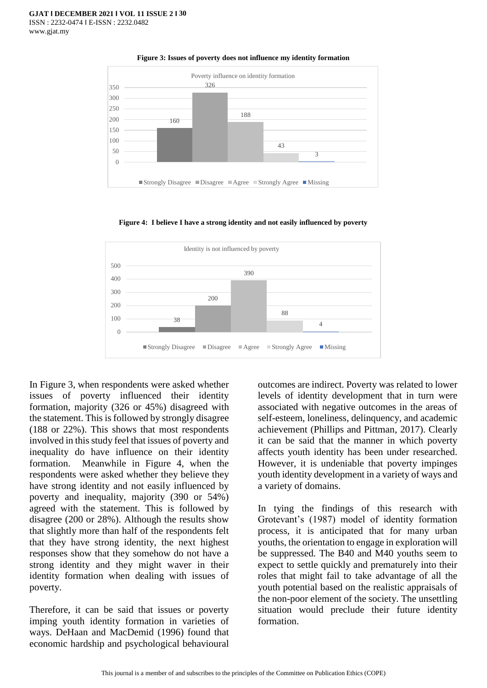

**Figure 3: Issues of poverty does not influence my identity formation**

**Figure 4: I believe I have a strong identity and not easily influenced by poverty**



In Figure 3, when respondents were asked whether issues of poverty influenced their identity formation, majority (326 or 45%) disagreed with the statement. This is followed by strongly disagree (188 or 22%). This shows that most respondents involved in this study feel that issues of poverty and inequality do have influence on their identity formation. Meanwhile in Figure 4, when the respondents were asked whether they believe they have strong identity and not easily influenced by poverty and inequality, majority (390 or 54%) agreed with the statement. This is followed by disagree (200 or 28%). Although the results show that slightly more than half of the respondents felt that they have strong identity, the next highest responses show that they somehow do not have a strong identity and they might waver in their identity formation when dealing with issues of poverty.

Therefore, it can be said that issues or poverty imping youth identity formation in varieties of ways. DeHaan and MacDemid (1996) found that economic hardship and psychological behavioural

outcomes are indirect. Poverty was related to lower levels of identity development that in turn were associated with negative outcomes in the areas of self-esteem, loneliness, delinquency, and academic achievement (Phillips and Pittman, 2017). Clearly it can be said that the manner in which poverty affects youth identity has been under researched. However, it is undeniable that poverty impinges youth identity development in a variety of ways and a variety of domains.

In tying the findings of this research with Grotevant's (1987) model of identity formation process, it is anticipated that for many urban youths, the orientation to engage in exploration will be suppressed. The B40 and M40 youths seem to expect to settle quickly and prematurely into their roles that might fail to take advantage of all the youth potential based on the realistic appraisals of the non-poor element of the society. The unsettling situation would preclude their future identity formation.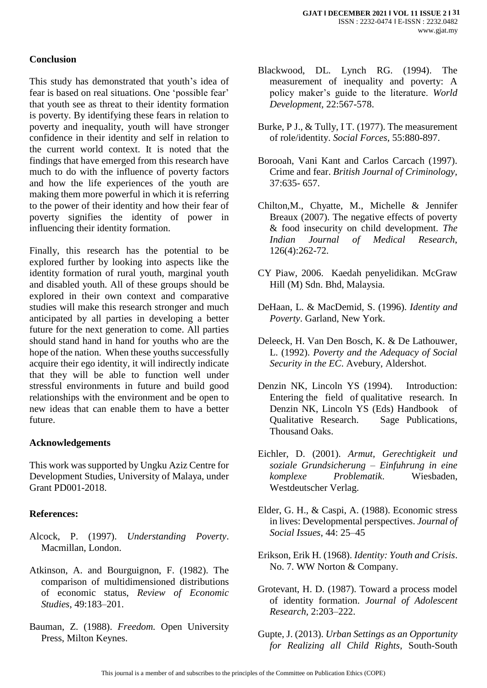### **Conclusion**

This study has demonstrated that youth's idea of fear is based on real situations. One 'possible fear' that youth see as threat to their identity formation is poverty. By identifying these fears in relation to poverty and inequality, youth will have stronger confidence in their identity and self in relation to the current world context. It is noted that the findings that have emerged from this research have much to do with the influence of poverty factors and how the life experiences of the youth are making them more powerful in which it is referring to the power of their identity and how their fear of poverty signifies the identity of power in influencing their identity formation.

Finally, this research has the potential to be explored further by looking into aspects like the identity formation of rural youth, marginal youth and disabled youth. All of these groups should be explored in their own context and comparative studies will make this research stronger and much anticipated by all parties in developing a better future for the next generation to come. All parties should stand hand in hand for youths who are the hope of the nation. When these youths successfully acquire their ego identity, it will indirectly indicate that they will be able to function well under stressful environments in future and build good relationships with the environment and be open to new ideas that can enable them to have a better future.

#### **Acknowledgements**

This work was supported by Ungku Aziz Centre for Development Studies, University of Malaya, under Grant PD001-2018.

#### **References:**

- Alcock, P. (1997). *Understanding Poverty*. Macmillan, London.
- Atkinson, A. and Bourguignon, F. (1982). The comparison of multidimensioned distributions of economic status, *Review of Economic Studies*, 49:183–201.
- Bauman, Z. (1988). *Freedom.* Open University Press, Milton Keynes.
- Blackwood, DL. Lynch RG. (1994). The measurement of inequality and poverty: A policy maker's guide to the literature. *World Development,* 22:567-578.
- Burke, P J., & Tully, I T. (1977). The measurement of role/identity. *Social Forces,* 55:880-897.
- Borooah, Vani Kant and Carlos Carcach (1997). Crime and fear. *British Journal of Criminology,* 37:635- 657.
- Chilton,M., Chyatte, M., Michelle & Jennifer Breaux (2007). The negative effects of poverty & food insecurity on child development. *The Indian Journal of Medical Research*, 126(4):262-72.
- CY Piaw, 2006. Kaedah penyelidikan. McGraw Hill (M) Sdn. Bhd, Malaysia.
- DeHaan, L. & MacDemid, S. (1996). *Identity and Poverty*. Garland, New York.
- Deleeck, H. Van Den Bosch, K. & De Lathouwer, L. (1992). *Poverty and the Adequacy of Social Security in the EC*. Avebury, Aldershot.
- Denzin NK, Lincoln YS (1994). Introduction: Entering the field of qualitative research. In Denzin NK, Lincoln YS (Eds) Handbook of Qualitative Research. Sage Publications, Thousand Oaks.
- Eichler, D. (2001). *Armut, Gerechtigkeit und soziale Grundsicherung – Einfuhrung in eine komplexe Problematik*. Wiesbaden, Westdeutscher Verlag.
- Elder, G. H., & Caspi, A. (1988). Economic stress in lives: Developmental perspectives. *Journal of Social Issues*, 44: 25–45
- Erikson, Erik H. (1968). *Identity: Youth and Crisis*. No. 7. WW Norton & Company.
- Grotevant, H. D. (1987). Toward a process model of identity formation. *Journal of Adolescent Research,* 2:203–222.
- Gupte, J. (2013). *Urban Settings as an Opportunity for Realizing all Child Rights*, South-South